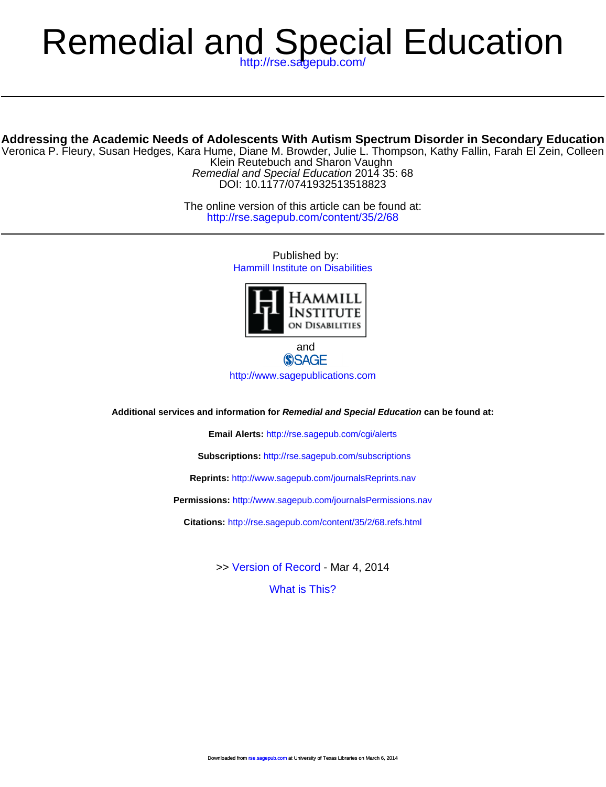# Remedial and Special Education

# **Addressing the Academic Needs of Adolescents With Autism Spectrum Disorder in Secondary Education**

Remedial and Special Education 2014 35: 68 Klein Reutebuch and Sharon Vaughn Veronica P. Fleury, Susan Hedges, Kara Hum[e, Diane M. Browder, Julie L. Thompson](http://www.sagepub.com/journalsReprints.nav), Kathy Fallin, Farah El Zein, Colleen

D[OI: 10.1177/0741932513518823](http://www.sagepub.com/journalsPermissions.nav)

<http://rse.sagepub.com/content/35/2/68> The online version of this article can be found at:

> Published by: [Hammill Institute on Disabilities](http://www.hammill-institute.org/)



[and](http://rse.sagepub.com/content/35/2/68.full.pdf) **SSAGE** <http://www.sagepublications.com>

**Additional services and information for Remedial and Special Education can be found at:**

**Email Alerts:** <http://rse.sagepub.com/cgi/alerts>

**Subscriptions:** <http://rse.sagepub.com/subscriptions>

**Reprints:** <http://www.sagepub.com/journalsReprints.nav>

**Permissions:** <http://www.sagepub.com/journalsPermissions.nav>

**Citations:** <http://rse.sagepub.com/content/35/2/68.refs.html>

>> [Version of Record -](http://rse.sagepub.com/content/35/2/68.full.pdf) Mar 4, 2014

[What is This?](http://online.sagepub.com/site/sphelp/vorhelp.xhtml)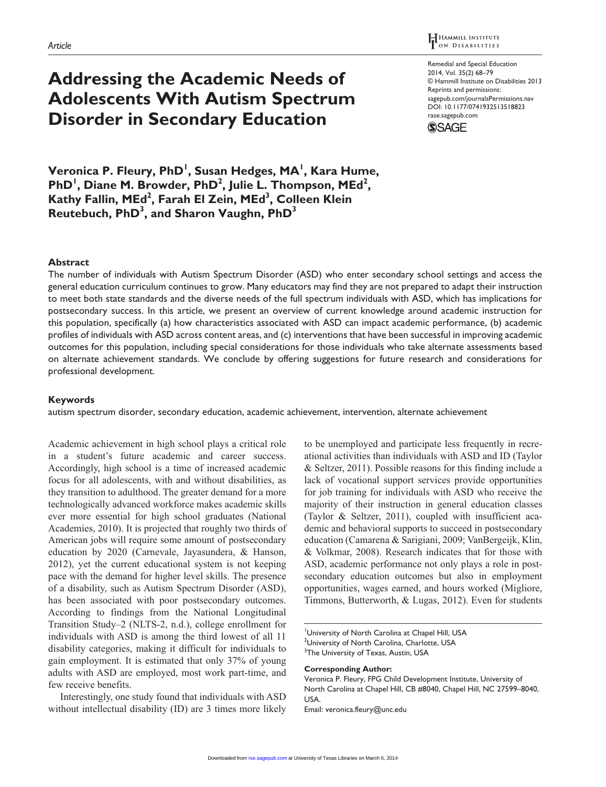# **Addressing the Academic Needs of Adolescents With Autism Spectrum Disorder in Secondary Education**

Remedial and Special Education 2014, Vol. 35(2) 68–79 © Hammill Institute on Disabilities 2013 Reprints and permissions: sagepub.com/journalsPermissions.nav DOI: 10.1177/0741932513518823 rase.sagepub.com



**V**eronica P. Fleury, PhD<sup>I</sup>, Susan Hedges, MA<sup>I</sup>, Kara Hume, PhD<sup>1</sup>, Diane M. Browder, PhD<sup>2</sup>, Julie L. Thompson, MEd<sup>2</sup>, **Kathy Fallin, MEd<sup>2</sup>, Farah El Zein, MEd<sup>3</sup>, Colleen Klein Reutebuch, PhD3 , and Sharon Vaughn, PhD3**

## **Abstract**

The number of individuals with Autism Spectrum Disorder (ASD) who enter secondary school settings and access the general education curriculum continues to grow. Many educators may find they are not prepared to adapt their instruction to meet both state standards and the diverse needs of the full spectrum individuals with ASD, which has implications for postsecondary success. In this article, we present an overview of current knowledge around academic instruction for this population, specifically (a) how characteristics associated with ASD can impact academic performance, (b) academic profiles of individuals with ASD across content areas, and (c) interventions that have been successful in improving academic outcomes for this population, including special considerations for those individuals who take alternate assessments based on alternate achievement standards. We conclude by offering suggestions for future research and considerations for professional development.

#### **Keywords**

autism spectrum disorder, secondary education, academic achievement, intervention, alternate achievement

Academic achievement in high school plays a critical role in a student's future academic and career success. Accordingly, high school is a time of increased academic focus for all adolescents, with and without disabilities, as they transition to adulthood. The greater demand for a more technologically advanced workforce makes academic skills ever more essential for high school graduates (National Academies, 2010). It is projected that roughly two thirds of American jobs will require some amount of postsecondary education by 2020 (Carnevale, Jayasundera, & Hanson, 2012), yet the current educational system is not keeping pace with the demand for higher level skills. The presence of a disability, such as Autism Spectrum Disorder (ASD), has been associated with poor postsecondary outcomes. According to findings from the National Longitudinal Transition Study–2 (NLTS-2, n.d.), college enrollment for individuals with ASD is among the third lowest of all 11 disability categories, making it difficult for individuals to gain employment. It is estimated that only 37% of young adults with ASD are employed, most work part-time, and few receive benefits.

Interestingly, one study found that individuals with ASD without intellectual disability (ID) are 3 times more likely to be unemployed and participate less frequently in recreational activities than individuals with ASD and ID (Taylor & Seltzer, 2011). Possible reasons for this finding include a lack of vocational support services provide opportunities for job training for individuals with ASD who receive the majority of their instruction in general education classes (Taylor & Seltzer, 2011), coupled with insufficient academic and behavioral supports to succeed in postsecondary education (Camarena & Sarigiani, 2009; VanBergeijk, Klin, & Volkmar, 2008). Research indicates that for those with ASD, academic performance not only plays a role in postsecondary education outcomes but also in employment opportunities, wages earned, and hours worked (Migliore, Timmons, Butterworth, & Lugas, 2012). Even for students

**Corresponding Author:**

Veronica P. Fleury, FPG Child Development Institute, University of North Carolina at Chapel Hill, CB #8040, Chapel Hill, NC 27599–8040, USA.

Email: [veronica.fleury@unc.edu](mailto:veronica.fleury@unc.edu)

University of North Carolina at Chapel Hill, USA

<sup>&</sup>lt;sup>2</sup>University of North Carolina, Charlotte, USA

 $^3$ The University of Texas, Austin, USA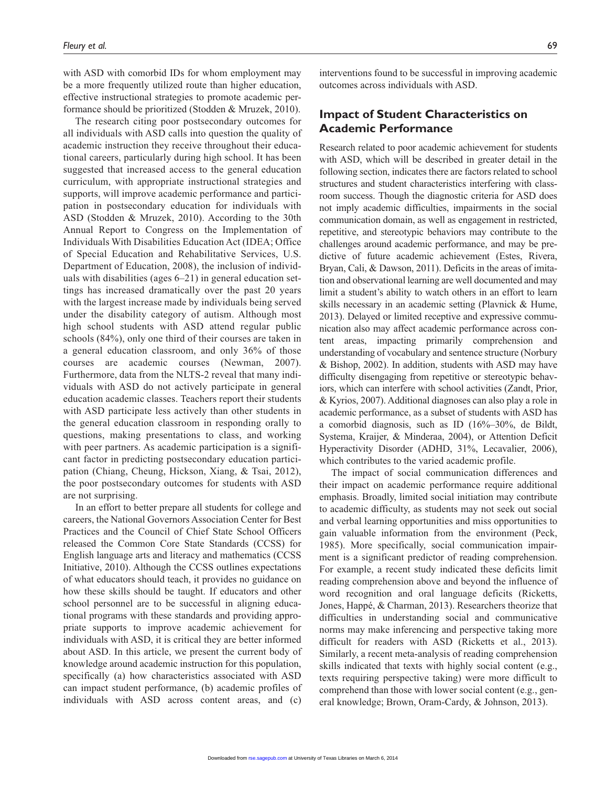with ASD with comorbid IDs for whom employment may be a more frequently utilized route than higher education, effective instructional strategies to promote academic performance should be prioritized (Stodden & Mruzek, 2010).

The research citing poor postsecondary outcomes for all individuals with ASD calls into question the quality of academic instruction they receive throughout their educational careers, particularly during high school. It has been suggested that increased access to the general education curriculum, with appropriate instructional strategies and supports, will improve academic performance and participation in postsecondary education for individuals with ASD (Stodden & Mruzek, 2010). According to the 30th Annual Report to Congress on the Implementation of Individuals With Disabilities Education Act (IDEA; Office of Special Education and Rehabilitative Services, U.S. Department of Education, 2008), the inclusion of individuals with disabilities (ages 6–21) in general education settings has increased dramatically over the past 20 years with the largest increase made by individuals being served under the disability category of autism. Although most high school students with ASD attend regular public schools (84%), only one third of their courses are taken in a general education classroom, and only 36% of those courses are academic courses (Newman, 2007). Furthermore, data from the NLTS-2 reveal that many individuals with ASD do not actively participate in general education academic classes. Teachers report their students with ASD participate less actively than other students in the general education classroom in responding orally to questions, making presentations to class, and working with peer partners. As academic participation is a significant factor in predicting postsecondary education participation (Chiang, Cheung, Hickson, Xiang, & Tsai, 2012), the poor postsecondary outcomes for students with ASD are not surprising.

In an effort to better prepare all students for college and careers, the National Governors Association Center for Best Practices and the Council of Chief State School Officers released the Common Core State Standards (CCSS) for English language arts and literacy and mathematics (CCSS Initiative, 2010). Although the CCSS outlines expectations of what educators should teach, it provides no guidance on how these skills should be taught. If educators and other school personnel are to be successful in aligning educational programs with these standards and providing appropriate supports to improve academic achievement for individuals with ASD, it is critical they are better informed about ASD. In this article, we present the current body of knowledge around academic instruction for this population, specifically (a) how characteristics associated with ASD can impact student performance, (b) academic profiles of individuals with ASD across content areas, and (c)

interventions found to be successful in improving academic outcomes across individuals with ASD.

# **Impact of Student Characteristics on Academic Performance**

Research related to poor academic achievement for students with ASD, which will be described in greater detail in the following section, indicates there are factors related to school structures and student characteristics interfering with classroom success. Though the diagnostic criteria for ASD does not imply academic difficulties, impairments in the social communication domain, as well as engagement in restricted, repetitive, and stereotypic behaviors may contribute to the challenges around academic performance, and may be predictive of future academic achievement (Estes, Rivera, Bryan, Cali, & Dawson, 2011). Deficits in the areas of imitation and observational learning are well documented and may limit a student's ability to watch others in an effort to learn skills necessary in an academic setting (Plavnick & Hume, 2013). Delayed or limited receptive and expressive communication also may affect academic performance across content areas, impacting primarily comprehension and understanding of vocabulary and sentence structure (Norbury & Bishop, 2002). In addition, students with ASD may have difficulty disengaging from repetitive or stereotypic behaviors, which can interfere with school activities (Zandt, Prior, & Kyrios, 2007). Additional diagnoses can also play a role in academic performance, as a subset of students with ASD has a comorbid diagnosis, such as ID (16%–30%, de Bildt, Systema, Kraijer, & Minderaa, 2004), or Attention Deficit Hyperactivity Disorder (ADHD, 31%, Lecavalier, 2006), which contributes to the varied academic profile.

The impact of social communication differences and their impact on academic performance require additional emphasis. Broadly, limited social initiation may contribute to academic difficulty, as students may not seek out social and verbal learning opportunities and miss opportunities to gain valuable information from the environment (Peck, 1985). More specifically, social communication impairment is a significant predictor of reading comprehension. For example, a recent study indicated these deficits limit reading comprehension above and beyond the influence of word recognition and oral language deficits (Ricketts, Jones, Happé, & Charman, 2013). Researchers theorize that difficulties in understanding social and communicative norms may make inferencing and perspective taking more difficult for readers with ASD (Ricketts et al., 2013). Similarly, a recent meta-analysis of reading comprehension skills indicated that texts with highly social content (e.g., texts requiring perspective taking) were more difficult to comprehend than those with lower social content (e.g., general knowledge; Brown, Oram-Cardy, & Johnson, 2013).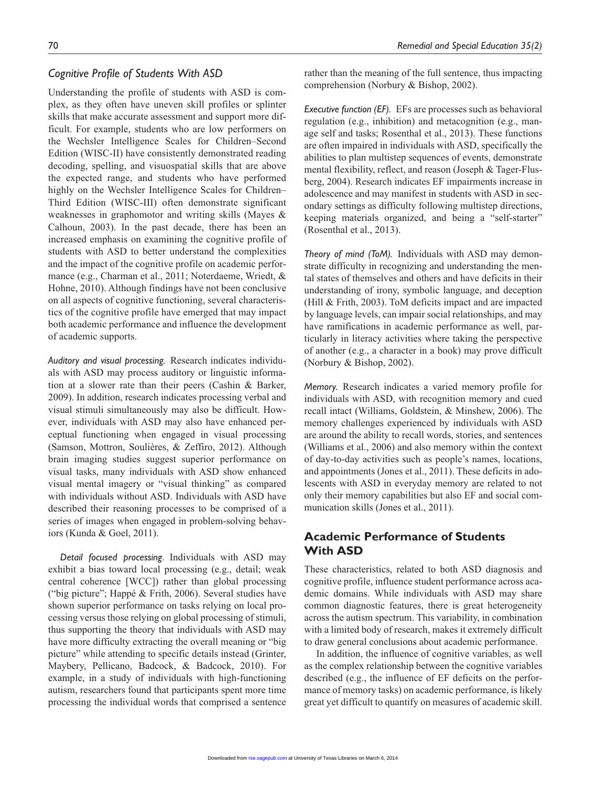# *Cognitive Profile of Students With ASD*

Understanding the profile of students with ASD is complex, as they often have uneven skill profiles or splinter skills that make accurate assessment and support more difficult. For example, students who are low performers on the Wechsler Intelligence Scales for Children–Second Edition (WISC-II) have consistently demonstrated reading decoding, spelling, and visuospatial skills that are above the expected range, and students who have performed highly on the Wechsler Intelligence Scales for Children– Third Edition (WISC-III) often demonstrate significant weaknesses in graphomotor and writing skills (Mayes & Calhoun, 2003). In the past decade, there has been an increased emphasis on examining the cognitive profile of students with ASD to better understand the complexities and the impact of the cognitive profile on academic performance (e.g., Charman et al., 2011; Noterdaeme, Wriedt, & Hohne, 2010). Although findings have not been conclusive on all aspects of cognitive functioning, several characteristics of the cognitive profile have emerged that may impact both academic performance and influence the development of academic supports.

*Auditory and visual processing.* Research indicates individuals with ASD may process auditory or linguistic information at a slower rate than their peers (Cashin & Barker, 2009). In addition, research indicates processing verbal and visual stimuli simultaneously may also be difficult. However, individuals with ASD may also have enhanced perceptual functioning when engaged in visual processing (Samson, Mottron, Soulières, & Zeffiro, 2012). Although brain imaging studies suggest superior performance on visual tasks, many individuals with ASD show enhanced visual mental imagery or "visual thinking" as compared with individuals without ASD. Individuals with ASD have described their reasoning processes to be comprised of a series of images when engaged in problem-solving behaviors (Kunda & Goel, 2011).

*Detail focused processing*. Individuals with ASD may exhibit a bias toward local processing (e.g., detail; weak central coherence [WCC]) rather than global processing ("big picture"; Happé & Frith, 2006). Several studies have shown superior performance on tasks relying on local processing versus those relying on global processing of stimuli, thus supporting the theory that individuals with ASD may have more difficulty extracting the overall meaning or "big picture" while attending to specific details instead (Grinter, Maybery, Pellicano, Badcock, & Badcock, 2010). For example, in a study of individuals with high-functioning autism, researchers found that participants spent more time processing the individual words that comprised a sentence rather than the meaning of the full sentence, thus impacting comprehension (Norbury & Bishop, 2002).

*Executive function (EF).* EFs are processes such as behavioral regulation (e.g., inhibition) and metacognition (e.g., manage self and tasks; Rosenthal et al., 2013). These functions are often impaired in individuals with ASD, specifically the abilities to plan multistep sequences of events, demonstrate mental flexibility, reflect, and reason (Joseph & Tager-Flusberg, 2004). Research indicates EF impairments increase in adolescence and may manifest in students with ASD in secondary settings as difficulty following multistep directions, keeping materials organized, and being a "self-starter" (Rosenthal et al., 2013).

*Theory of mind (ToM).* Individuals with ASD may demonstrate difficulty in recognizing and understanding the mental states of themselves and others and have deficits in their understanding of irony, symbolic language, and deception (Hill & Frith, 2003). ToM deficits impact and are impacted by language levels, can impair social relationships, and may have ramifications in academic performance as well, particularly in literacy activities where taking the perspective of another (e.g., a character in a book) may prove difficult (Norbury & Bishop, 2002).

*Memory.* Research indicates a varied memory profile for individuals with ASD, with recognition memory and cued recall intact (Williams, Goldstein, & Minshew, 2006). The memory challenges experienced by individuals with ASD are around the ability to recall words, stories, and sentences (Williams et al., 2006) and also memory within the context of day-to-day activities such as people's names, locations, and appointments (Jones et al., 2011). These deficits in adolescents with ASD in everyday memory are related to not only their memory capabilities but also EF and social communication skills (Jones et al., 2011).

# **Academic Performance of Students With ASD**

These characteristics, related to both ASD diagnosis and cognitive profile, influence student performance across academic domains. While individuals with ASD may share common diagnostic features, there is great heterogeneity across the autism spectrum. This variability, in combination with a limited body of research, makes it extremely difficult to draw general conclusions about academic performance.

In addition, the influence of cognitive variables, as well as the complex relationship between the cognitive variables described (e.g., the influence of EF deficits on the performance of memory tasks) on academic performance, is likely great yet difficult to quantify on measures of academic skill.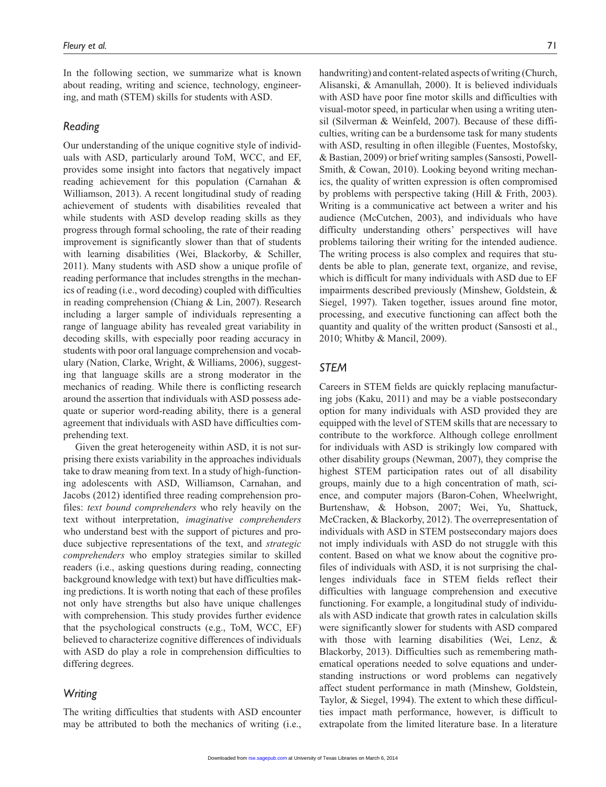In the following section, we summarize what is known about reading, writing and science, technology, engineering, and math (STEM) skills for students with ASD.

# *Reading*

Our understanding of the unique cognitive style of individuals with ASD, particularly around ToM, WCC, and EF, provides some insight into factors that negatively impact reading achievement for this population (Carnahan & Williamson, 2013). A recent longitudinal study of reading achievement of students with disabilities revealed that while students with ASD develop reading skills as they progress through formal schooling, the rate of their reading improvement is significantly slower than that of students with learning disabilities (Wei, Blackorby, & Schiller, 2011). Many students with ASD show a unique profile of reading performance that includes strengths in the mechanics of reading (i.e., word decoding) coupled with difficulties in reading comprehension (Chiang & Lin, 2007). Research including a larger sample of individuals representing a range of language ability has revealed great variability in decoding skills, with especially poor reading accuracy in students with poor oral language comprehension and vocabulary (Nation, Clarke, Wright, & Williams, 2006), suggesting that language skills are a strong moderator in the mechanics of reading. While there is conflicting research around the assertion that individuals with ASD possess adequate or superior word-reading ability, there is a general agreement that individuals with ASD have difficulties comprehending text.

Given the great heterogeneity within ASD, it is not surprising there exists variability in the approaches individuals take to draw meaning from text. In a study of high-functioning adolescents with ASD, Williamson, Carnahan, and Jacobs (2012) identified three reading comprehension profiles: *text bound comprehenders* who rely heavily on the text without interpretation, *imaginative comprehenders* who understand best with the support of pictures and produce subjective representations of the text, and *strategic comprehenders* who employ strategies similar to skilled readers (i.e., asking questions during reading, connecting background knowledge with text) but have difficulties making predictions. It is worth noting that each of these profiles not only have strengths but also have unique challenges with comprehension. This study provides further evidence that the psychological constructs (e.g., ToM, WCC, EF) believed to characterize cognitive differences of individuals with ASD do play a role in comprehension difficulties to differing degrees.

#### *Writing*

The writing difficulties that students with ASD encounter may be attributed to both the mechanics of writing (i.e.,

handwriting) and content-related aspects of writing (Church, Alisanski, & Amanullah, 2000). It is believed individuals with ASD have poor fine motor skills and difficulties with visual-motor speed, in particular when using a writing utensil (Silverman & Weinfeld, 2007). Because of these difficulties, writing can be a burdensome task for many students with ASD, resulting in often illegible (Fuentes, Mostofsky, & Bastian, 2009) or brief writing samples (Sansosti, Powell-Smith, & Cowan, 2010). Looking beyond writing mechanics, the quality of written expression is often compromised by problems with perspective taking (Hill & Frith, 2003). Writing is a communicative act between a writer and his audience (McCutchen, 2003), and individuals who have difficulty understanding others' perspectives will have problems tailoring their writing for the intended audience. The writing process is also complex and requires that students be able to plan, generate text, organize, and revise, which is difficult for many individuals with ASD due to EF impairments described previously (Minshew, Goldstein, & Siegel, 1997). Taken together, issues around fine motor, processing, and executive functioning can affect both the quantity and quality of the written product (Sansosti et al., 2010; Whitby & Mancil, 2009).

# *STEM*

Careers in STEM fields are quickly replacing manufacturing jobs (Kaku, 2011) and may be a viable postsecondary option for many individuals with ASD provided they are equipped with the level of STEM skills that are necessary to contribute to the workforce. Although college enrollment for individuals with ASD is strikingly low compared with other disability groups (Newman, 2007), they comprise the highest STEM participation rates out of all disability groups, mainly due to a high concentration of math, science, and computer majors (Baron-Cohen, Wheelwright, Burtenshaw, & Hobson, 2007; Wei, Yu, Shattuck, McCracken, & Blackorby, 2012). The overrepresentation of individuals with ASD in STEM postsecondary majors does not imply individuals with ASD do not struggle with this content. Based on what we know about the cognitive profiles of individuals with ASD, it is not surprising the challenges individuals face in STEM fields reflect their difficulties with language comprehension and executive functioning. For example, a longitudinal study of individuals with ASD indicate that growth rates in calculation skills were significantly slower for students with ASD compared with those with learning disabilities (Wei, Lenz, & Blackorby, 2013). Difficulties such as remembering mathematical operations needed to solve equations and understanding instructions or word problems can negatively affect student performance in math (Minshew, Goldstein, Taylor, & Siegel, 1994). The extent to which these difficulties impact math performance, however, is difficult to [extrapolate](http://rse.sagepub.com/) from the limited literature base. In a literature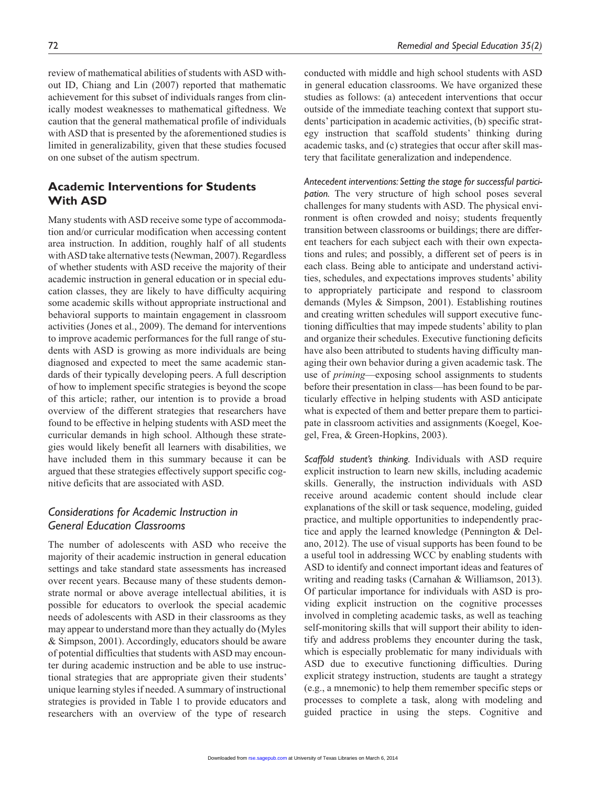review of mathematical abilities of students with ASD without ID, Chiang and Lin (2007) reported that mathematic achievement for this subset of individuals ranges from clinically modest weaknesses to mathematical giftedness. We caution that the general mathematical profile of individuals with ASD that is presented by the aforementioned studies is limited in generalizability, given that these studies focused on one subset of the autism spectrum.

# **Academic Interventions for Students With ASD**

Many students with ASD receive some type of accommodation and/or curricular modification when accessing content area instruction. In addition, roughly half of all students with ASD take alternative tests (Newman, 2007). Regardless of whether students with ASD receive the majority of their academic instruction in general education or in special education classes, they are likely to have difficulty acquiring some academic skills without appropriate instructional and behavioral supports to maintain engagement in classroom activities (Jones et al., 2009). The demand for interventions to improve academic performances for the full range of students with ASD is growing as more individuals are being diagnosed and expected to meet the same academic standards of their typically developing peers. A full description of how to implement specific strategies is beyond the scope of this article; rather, our intention is to provide a broad overview of the different strategies that researchers have found to be effective in helping students with ASD meet the curricular demands in high school. Although these strategies would likely benefit all learners with disabilities, we have included them in this summary because it can be argued that these strategies effectively support specific cognitive deficits that are associated with ASD.

# *Considerations for Academic Instruction in General Education Classrooms*

The number of adolescents with ASD who receive the majority of their academic instruction in general education settings and take standard state assessments has increased over recent years. Because many of these students demonstrate normal or above average intellectual abilities, it is possible for educators to overlook the special academic needs of adolescents with ASD in their classrooms as they may appear to understand more than they actually do (Myles & Simpson, 2001). Accordingly, educators should be aware of potential difficulties that students with ASD may encounter during academic instruction and be able to use instructional strategies that are appropriate given their students' unique learning styles if needed. A summary of instructional strategies is provided in Table 1 to provide educators and researchers with an overview of the type of research conducted with middle and high school students with ASD in general education classrooms. We have organized these studies as follows: (a) antecedent interventions that occur outside of the immediate teaching context that support students' participation in academic activities, (b) specific strategy instruction that scaffold students' thinking during academic tasks, and (c) strategies that occur after skill mastery that facilitate generalization and independence.

*Antecedent interventions: Setting the stage for successful participation.* The very structure of high school poses several challenges for many students with ASD. The physical environment is often crowded and noisy; students frequently transition between classrooms or buildings; there are different teachers for each subject each with their own expectations and rules; and possibly, a different set of peers is in each class. Being able to anticipate and understand activities, schedules, and expectations improves students' ability to appropriately participate and respond to classroom demands (Myles & Simpson, 2001). Establishing routines and creating written schedules will support executive functioning difficulties that may impede students' ability to plan and organize their schedules. Executive functioning deficits have also been attributed to students having difficulty managing their own behavior during a given academic task. The use of *priming*—exposing school assignments to students before their presentation in class—has been found to be particularly effective in helping students with ASD anticipate what is expected of them and better prepare them to participate in classroom activities and assignments (Koegel, Koegel, Frea, & Green-Hopkins, 2003).

*Scaffold student's thinking.* Individuals with ASD require explicit instruction to learn new skills, including academic skills. Generally, the instruction individuals with ASD receive around academic content should include clear explanations of the skill or task sequence, modeling, guided practice, and multiple opportunities to independently practice and apply the learned knowledge (Pennington & Delano, 2012). The use of visual supports has been found to be a useful tool in addressing WCC by enabling students with ASD to identify and connect important ideas and features of writing and reading tasks (Carnahan & Williamson, 2013). Of particular importance for individuals with ASD is providing explicit instruction on the cognitive processes involved in completing academic tasks, as well as teaching self-monitoring skills that will support their ability to identify and address problems they encounter during the task, which is especially problematic for many individuals with ASD due to executive functioning difficulties. During explicit strategy instruction, students are taught a strategy (e.g., a mnemonic) to help them remember specific steps or processes to complete a task, along with modeling and guided practice in using the steps. Cognitive and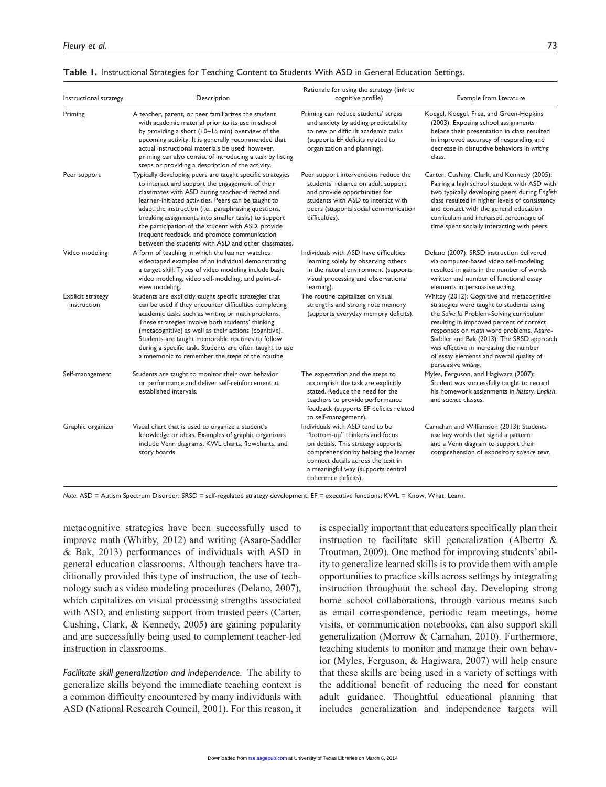| Instructional strategy                  | Description                                                                                                                                                                                                                                                                                                                                                                                                                                                                                         | Rationale for using the strategy (link to<br>cognitive profile)                                                                                                                                                                                     | Example from literature                                                                                                                                                                                                                                                                                                                                                             |
|-----------------------------------------|-----------------------------------------------------------------------------------------------------------------------------------------------------------------------------------------------------------------------------------------------------------------------------------------------------------------------------------------------------------------------------------------------------------------------------------------------------------------------------------------------------|-----------------------------------------------------------------------------------------------------------------------------------------------------------------------------------------------------------------------------------------------------|-------------------------------------------------------------------------------------------------------------------------------------------------------------------------------------------------------------------------------------------------------------------------------------------------------------------------------------------------------------------------------------|
| Priming                                 | A teacher, parent, or peer familiarizes the student<br>with academic material prior to its use in school<br>by providing a short (10-15 min) overview of the<br>upcoming activity. It is generally recommended that<br>actual instructional materials be used; however,<br>priming can also consist of introducing a task by listing<br>steps or providing a description of the activity.                                                                                                           | Priming can reduce students' stress<br>and anxiety by adding predictability<br>to new or difficult academic tasks<br>(supports EF deficits related to<br>organization and planning).                                                                | Koegel, Koegel, Frea, and Green-Hopkins<br>(2003): Exposing school assignments<br>before their presentation in class resulted<br>in improved accuracy of responding and<br>decrease in disruptive behaviors in writing<br>class.                                                                                                                                                    |
| Peer support                            | Typically developing peers are taught specific strategies<br>to interact and support the engagement of their<br>classmates with ASD during teacher-directed and<br>learner-initiated activities. Peers can be taught to<br>adapt the instruction (i.e., paraphrasing questions,<br>breaking assignments into smaller tasks) to support<br>the participation of the student with ASD, provide<br>frequent feedback, and promote communication<br>between the students with ASD and other classmates. | Peer support interventions reduce the<br>students' reliance on adult support<br>and provide opportunities for<br>students with ASD to interact with<br>peers (supports social communication<br>difficulties).                                       | Carter, Cushing, Clark, and Kennedy (2005):<br>Pairing a high school student with ASD with<br>two typically developing peers during English<br>class resulted in higher levels of consistency<br>and contact with the general education<br>curriculum and increased percentage of<br>time spent socially interacting with peers.                                                    |
| Video modeling                          | A form of teaching in which the learner watches<br>videotaped examples of an individual demonstrating<br>a target skill. Types of video modeling include basic<br>video modeling, video self-modeling, and point-of-<br>view modeling.                                                                                                                                                                                                                                                              | Individuals with ASD have difficulties<br>learning solely by observing others<br>in the natural environment (supports<br>visual processing and observational<br>learning).                                                                          | Delano (2007): SRSD instruction delivered<br>via computer-based video self-modeling<br>resulted in gains in the number of words<br>written and number of functional essay<br>elements in persuasive writing.                                                                                                                                                                        |
| <b>Explicit strategy</b><br>instruction | Students are explicitly taught specific strategies that<br>can be used if they encounter difficulties completing<br>academic tasks such as writing or math problems.<br>These strategies involve both students' thinking<br>(metacognitive) as well as their actions (cognitive).<br>Students are taught memorable routines to follow<br>during a specific task. Students are often taught to use<br>a mnemonic to remember the steps of the routine.                                               | The routine capitalizes on visual<br>strengths and strong rote memory<br>(supports everyday memory deficits).                                                                                                                                       | Whitby (2012): Cognitive and metacognitive<br>strategies were taught to students using<br>the Solve It! Problem-Solving curriculum<br>resulting in improved percent of correct<br>responses on math word problems. Asaro-<br>Saddler and Bak (2013): The SRSD approach<br>was effective in increasing the number<br>of essay elements and overall quality of<br>persuasive writing. |
| Self-management                         | Students are taught to monitor their own behavior<br>or performance and deliver self-reinforcement at<br>established intervals.                                                                                                                                                                                                                                                                                                                                                                     | The expectation and the steps to<br>accomplish the task are explicitly<br>stated. Reduce the need for the<br>teachers to provide performance<br>feedback (supports EF deficits related<br>to self-management).                                      | Myles, Ferguson, and Hagiwara (2007):<br>Student was successfully taught to record<br>his homework assignments in history, English,<br>and science classes.                                                                                                                                                                                                                         |
| Graphic organizer                       | Visual chart that is used to organize a student's<br>knowledge or ideas. Examples of graphic organizers<br>include Venn diagrams, KWL charts, flowcharts, and<br>story boards.                                                                                                                                                                                                                                                                                                                      | Individuals with ASD tend to be<br>"bottom-up" thinkers and focus<br>on details. This strategy supports<br>comprehension by helping the learner<br>connect details across the text in<br>a meaningful way (supports central<br>coherence deficits). | Carnahan and Williamson (2013): Students<br>use key words that signal a pattern<br>and a Venn diagram to support their<br>comprehension of expository science text.                                                                                                                                                                                                                 |

*Note.* ASD = Autism Spectrum Disorder; SRSD = self-regulated strategy development; EF = executive functions; KWL = Know, What, Learn.

metacognitive strategies have been successfully used to improve math (Whitby, 2012) and writing (Asaro-Saddler & Bak, 2013) performances of individuals with ASD in general education classrooms. Although teachers have traditionally provided this type of instruction, the use of technology such as video modeling procedures (Delano, 2007), which capitalizes on visual processing strengths associated with ASD, and enlisting support from trusted peers (Carter, Cushing, Clark, & Kennedy, 2005) are gaining popularity and are successfully being used to complement teacher-led instruction in classrooms.

*Facilitate skill generalization and independence.* The ability to generalize skills beyond the immediate teaching context is a common difficulty encountered by many individuals with ASD (National Research Council, 2001). For this reason, it is especially important that educators specifically plan their instruction to facilitate skill generalization (Alberto & Troutman, 2009). One method for improving students' ability to generalize learned skills is to provide them with ample opportunities to practice skills across settings by integrating instruction throughout the school day. Developing strong home–school collaborations, through various means such as email correspondence, periodic team meetings, home visits, or communication notebooks, can also support skill generalization (Morrow & Carnahan, 2010). Furthermore, teaching students to monitor and manage their own behavior (Myles, Ferguson, & Hagiwara, 2007) will help ensure that these skills are being used in a variety of settings with the additional benefit of reducing the need for constant adult guidance. Thoughtful educational planning that includes generalization and independence targets will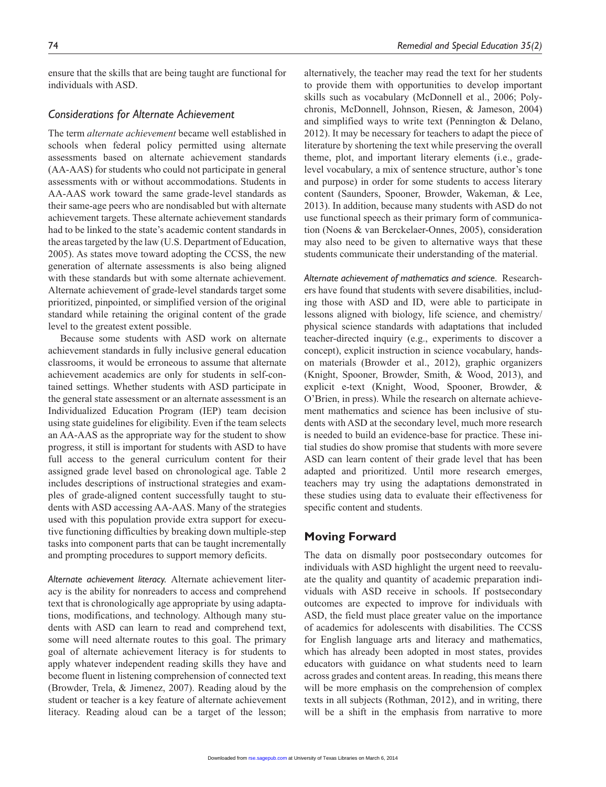ensure that the skills that are being taught are functional for individuals with ASD.

## *Considerations for Alternate Achievement*

The term *alternate achievement* became well established in schools when federal policy permitted using alternate assessments based on alternate achievement standards (AA-AAS) for students who could not participate in general assessments with or without accommodations. Students in AA-AAS work toward the same grade-level standards as their same-age peers who are nondisabled but with alternate achievement targets. These alternate achievement standards had to be linked to the state's academic content standards in the areas targeted by the law (U.S. Department of Education, 2005). As states move toward adopting the CCSS, the new generation of alternate assessments is also being aligned with these standards but with some alternate achievement. Alternate achievement of grade-level standards target some prioritized, pinpointed, or simplified version of the original standard while retaining the original content of the grade level to the greatest extent possible.

Because some students with ASD work on alternate achievement standards in fully inclusive general education classrooms, it would be erroneous to assume that alternate achievement academics are only for students in self-contained settings. Whether students with ASD participate in the general state assessment or an alternate assessment is an Individualized Education Program (IEP) team decision using state guidelines for eligibility. Even if the team selects an AA-AAS as the appropriate way for the student to show progress, it still is important for students with ASD to have full access to the general curriculum content for their assigned grade level based on chronological age. Table 2 includes descriptions of instructional strategies and examples of grade-aligned content successfully taught to students with ASD accessing AA-AAS. Many of the strategies used with this population provide extra support for executive functioning difficulties by breaking down multiple-step tasks into component parts that can be taught incrementally and prompting procedures to support memory deficits.

*Alternate achievement literacy.* Alternate achievement literacy is the ability for nonreaders to access and comprehend text that is chronologically age appropriate by using adaptations, modifications, and technology. Although many students with ASD can learn to read and comprehend text, some will need alternate routes to this goal. The primary goal of alternate achievement literacy is for students to apply whatever independent reading skills they have and become fluent in listening comprehension of connected text (Browder, Trela, & Jimenez, 2007). Reading aloud by the student or teacher is a key feature of alternate achievement literacy. Reading aloud can be a target of the lesson; alternatively, the teacher may read the text for her students to provide them with opportunities to develop important skills such as vocabulary (McDonnell et al., 2006; Polychronis, McDonnell, Johnson, Riesen, & Jameson, 2004) and simplified ways to write text (Pennington & Delano, 2012). It may be necessary for teachers to adapt the piece of literature by shortening the text while preserving the overall theme, plot, and important literary elements (i.e., gradelevel vocabulary, a mix of sentence structure, author's tone and purpose) in order for some students to access literary content (Saunders, Spooner, Browder, Wakeman, & Lee, 2013). In addition, because many students with ASD do not use functional speech as their primary form of communication (Noens & van Berckelaer-Onnes, 2005), consideration may also need to be given to alternative ways that these students communicate their understanding of the material.

*Alternate achievement of mathematics and science.* Researchers have found that students with severe disabilities, including those with ASD and ID, were able to participate in lessons aligned with biology, life science, and chemistry/ physical science standards with adaptations that included teacher-directed inquiry (e.g., experiments to discover a concept), explicit instruction in science vocabulary, handson materials (Browder et al., 2012), graphic organizers (Knight, Spooner, Browder, Smith, & Wood, 2013), and explicit e-text (Knight, Wood, Spooner, Browder, & O'Brien, in press). While the research on alternate achievement mathematics and science has been inclusive of students with ASD at the secondary level, much more research is needed to build an evidence-base for practice. These initial studies do show promise that students with more severe ASD can learn content of their grade level that has been adapted and prioritized. Until more research emerges, teachers may try using the adaptations demonstrated in these studies using data to evaluate their effectiveness for specific content and students.

# **Moving Forward**

The data on dismally poor postsecondary outcomes for individuals with ASD highlight the urgent need to reevaluate the quality and quantity of academic preparation individuals with ASD receive in schools. If postsecondary outcomes are expected to improve for individuals with ASD, the field must place greater value on the importance of academics for adolescents with disabilities. The CCSS for English language arts and literacy and mathematics, which has already been adopted in most states, provides educators with guidance on what students need to learn across grades and content areas. In reading, this means there will be more emphasis on the comprehension of complex texts in all subjects (Rothman, 2012), and in writing, there will be a shift in the emphasis from narrative to more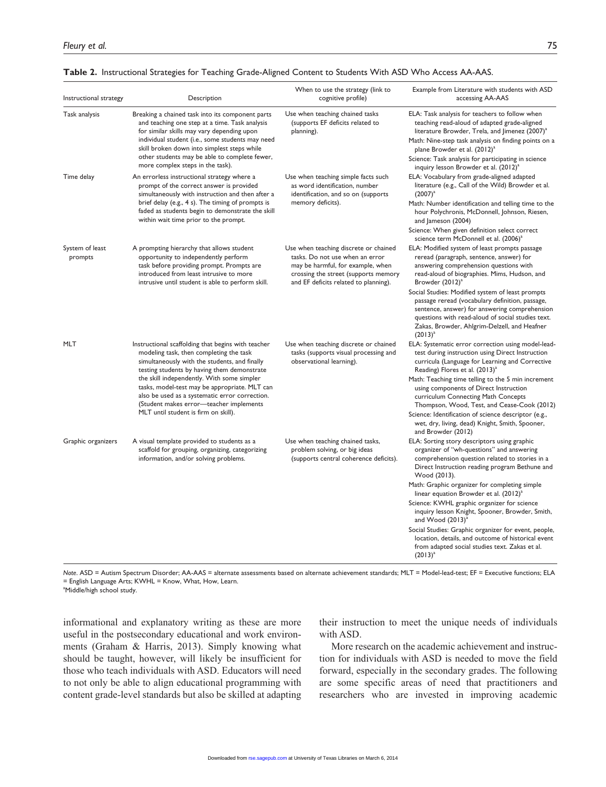| Instructional strategy     | Description                                                                                                                                                                                                                                                                                                                                                                                                                       | When to use the strategy (link to<br>cognitive profile)                                                                                                                                        | Example from Literature with students with ASD<br>accessing AA-AAS                                                                                                                                                                                                        |
|----------------------------|-----------------------------------------------------------------------------------------------------------------------------------------------------------------------------------------------------------------------------------------------------------------------------------------------------------------------------------------------------------------------------------------------------------------------------------|------------------------------------------------------------------------------------------------------------------------------------------------------------------------------------------------|---------------------------------------------------------------------------------------------------------------------------------------------------------------------------------------------------------------------------------------------------------------------------|
| Task analysis              | Breaking a chained task into its component parts<br>and teaching one step at a time. Task analysis<br>for similar skills may vary depending upon<br>individual student (i.e., some students may need<br>skill broken down into simplest steps while<br>other students may be able to complete fewer,<br>more complex steps in the task).                                                                                          | Use when teaching chained tasks<br>(supports EF deficits related to<br>planning).                                                                                                              | ELA: Task analysis for teachers to follow when<br>teaching read-aloud of adapted grade-aligned<br>literature Browder, Trela, and Jimenez (2007) <sup>a</sup>                                                                                                              |
|                            |                                                                                                                                                                                                                                                                                                                                                                                                                                   |                                                                                                                                                                                                | Math: Nine-step task analysis on finding points on a<br>plane Browder et al. (2012) <sup>a</sup>                                                                                                                                                                          |
|                            |                                                                                                                                                                                                                                                                                                                                                                                                                                   |                                                                                                                                                                                                | Science: Task analysis for participating in science<br>inquiry lesson Browder et al. (2012) <sup>a</sup>                                                                                                                                                                  |
| Time delay                 | An errorless instructional strategy where a<br>prompt of the correct answer is provided<br>simultaneously with instruction and then after a<br>brief delay (e.g., 4 s). The timing of prompts is<br>faded as students begin to demonstrate the skill<br>within wait time prior to the prompt.                                                                                                                                     | Use when teaching simple facts such<br>as word identification, number<br>identification, and so on (supports<br>memory deficits).                                                              | ELA: Vocabulary from grade-aligned adapted<br>literature (e.g., Call of the Wild) Browder et al.<br>$(2007)^{a}$                                                                                                                                                          |
|                            |                                                                                                                                                                                                                                                                                                                                                                                                                                   |                                                                                                                                                                                                | Math: Number identification and telling time to the<br>hour Polychronis, McDonnell, Johnson, Riesen,<br>and Jameson (2004)                                                                                                                                                |
|                            |                                                                                                                                                                                                                                                                                                                                                                                                                                   |                                                                                                                                                                                                | Science: When given definition select correct<br>science term McDonnell et al. (2006) <sup>a</sup>                                                                                                                                                                        |
| System of least<br>prompts | A prompting hierarchy that allows student<br>opportunity to independently perform<br>task before providing prompt. Prompts are<br>introduced from least intrusive to more<br>intrusive until student is able to perform skill.                                                                                                                                                                                                    | Use when teaching discrete or chained<br>tasks. Do not use when an error<br>may be harmful, for example, when<br>crossing the street (supports memory<br>and EF deficits related to planning). | ELA: Modified system of least prompts passage<br>reread (paragraph, sentence, answer) for<br>answering comprehension questions with<br>read-aloud of biographies. Mims, Hudson, and<br>Browder $(2012)^{a}$                                                               |
|                            |                                                                                                                                                                                                                                                                                                                                                                                                                                   |                                                                                                                                                                                                | Social Studies: Modified system of least prompts<br>passage reread (vocabulary definition, passage,<br>sentence, answer) for answering comprehension<br>questions with read-aloud of social studies text.<br>Zakas, Browder, Ahlgrim-Delzell, and Heafner<br>$(2013)^{a}$ |
| MLT                        | Instructional scaffolding that begins with teacher<br>modeling task, then completing the task<br>simultaneously with the students, and finally<br>testing students by having them demonstrate<br>the skill independently. With some simpler<br>tasks, model-test may be appropriate. MLT can<br>also be used as a systematic error correction.<br>(Student makes error-teacher implements<br>MLT until student is firm on skill). | Use when teaching discrete or chained<br>tasks (supports visual processing and<br>observational learning).                                                                                     | ELA: Systematic error correction using model-lead-<br>test during instruction using Direct Instruction<br>curricula (Language for Learning and Corrective<br>Reading) Flores et al. (2013) <sup>a</sup>                                                                   |
|                            |                                                                                                                                                                                                                                                                                                                                                                                                                                   |                                                                                                                                                                                                | Math: Teaching time telling to the 5 min increment<br>using components of Direct Instruction<br>curriculum Connecting Math Concepts<br>Thompson, Wood, Test, and Cease-Cook (2012)                                                                                        |
|                            |                                                                                                                                                                                                                                                                                                                                                                                                                                   |                                                                                                                                                                                                | Science: Identification of science descriptor (e.g.,<br>wet, dry, living, dead) Knight, Smith, Spooner,<br>and Browder (2012)                                                                                                                                             |
| Graphic organizers         | A visual template provided to students as a<br>scaffold for grouping, organizing, categorizing<br>information, and/or solving problems.                                                                                                                                                                                                                                                                                           | Use when teaching chained tasks,<br>problem solving, or big ideas<br>(supports central coherence deficits).                                                                                    | ELA: Sorting story descriptors using graphic<br>organizer of "wh-questions" and answering<br>comprehension question related to stories in a<br>Direct Instruction reading program Bethune and<br>Wood (2013).                                                             |
|                            |                                                                                                                                                                                                                                                                                                                                                                                                                                   |                                                                                                                                                                                                | Math: Graphic organizer for completing simple<br>linear equation Browder et al. (2012) <sup>a</sup>                                                                                                                                                                       |
|                            |                                                                                                                                                                                                                                                                                                                                                                                                                                   |                                                                                                                                                                                                | Science: KWHL graphic organizer for science<br>inquiry lesson Knight, Spooner, Browder, Smith,<br>and Wood $(2013)^{a}$                                                                                                                                                   |
|                            |                                                                                                                                                                                                                                                                                                                                                                                                                                   |                                                                                                                                                                                                | Social Studies: Graphic organizer for event, people,<br>location, details, and outcome of historical event<br>from adapted social studies text. Zakas et al.<br>$(2013)^{a}$                                                                                              |

#### **Table 2.** Instructional Strategies for Teaching Grade-Aligned Content to Students With ASD Who Access AA-AAS.

*Note*. ASD = Autism Spectrum Disorder; AA-AAS = alternate assessments based on alternate achievement standards; MLT = Model-lead-test; EF = Executive functions; ELA = English Language Arts; KWHL = Know, What, How, Learn.

<sup>a</sup>Middle/high school study.

informational and explanatory writing as these are more useful in the postsecondary educational and work environments (Graham & Harris, 2013). Simply knowing what should be taught, however, will likely be insufficient for those who teach individuals with ASD. Educators will need to not only be able to align educational programming with content grade-level standards but also be skilled at adapting their instruction to meet the unique needs of individuals with ASD.

More research on the academic achievement and instruction for individuals with ASD is needed to move the field forward, especially in the secondary grades. The following are some specific areas of need that practitioners and researchers who are invested in improving academic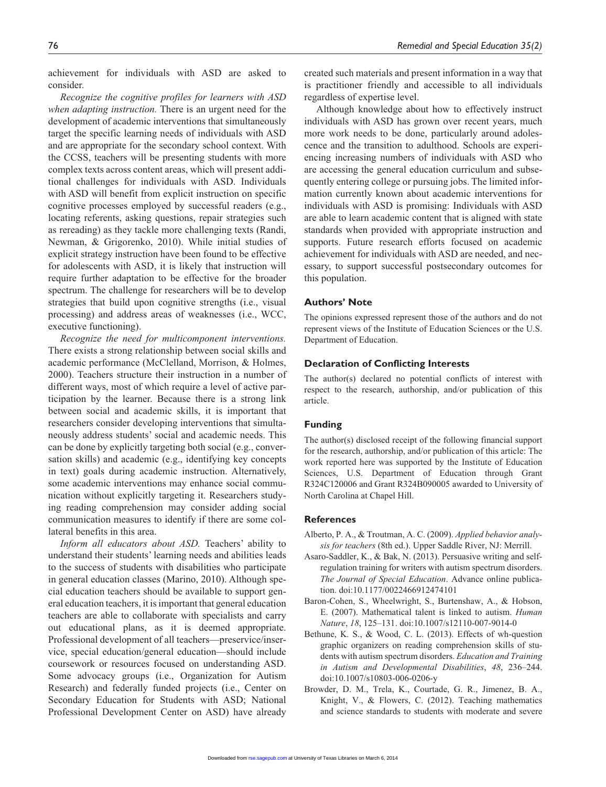achievement for individuals with ASD are asked to consider.

*Recognize the cognitive profiles for learners with ASD when adapting instruction.* There is an urgent need for the development of academic interventions that simultaneously target the specific learning needs of individuals with ASD and are appropriate for the secondary school context. With the CCSS, teachers will be presenting students with more complex texts across content areas, which will present additional challenges for individuals with ASD. Individuals with ASD will benefit from explicit instruction on specific cognitive processes employed by successful readers (e.g., locating referents, asking questions, repair strategies such as rereading) as they tackle more challenging texts (Randi, Newman, & Grigorenko, 2010). While initial studies of explicit strategy instruction have been found to be effective for adolescents with ASD, it is likely that instruction will require further adaptation to be effective for the broader spectrum. The challenge for researchers will be to develop strategies that build upon cognitive strengths (i.e., visual processing) and address areas of weaknesses (i.e., WCC, executive functioning).

*Recognize the need for multicomponent interventions.* There exists a strong relationship between social skills and academic performance (McClelland, Morrison, & Holmes, 2000). Teachers structure their instruction in a number of different ways, most of which require a level of active participation by the learner. Because there is a strong link between social and academic skills, it is important that researchers consider developing interventions that simultaneously address students' social and academic needs. This can be done by explicitly targeting both social (e.g., conversation skills) and academic (e.g., identifying key concepts in text) goals during academic instruction. Alternatively, some academic interventions may enhance social communication without explicitly targeting it. Researchers studying reading comprehension may consider adding social communication measures to identify if there are some collateral benefits in this area.

*Inform all educators about ASD.* Teachers' ability to understand their students' learning needs and abilities leads to the success of students with disabilities who participate in general education classes (Marino, 2010). Although special education teachers should be available to support general education teachers, it is important that general education teachers are able to collaborate with specialists and carry out educational plans, as it is deemed appropriate. Professional development of all teachers—preservice/inservice, special education/general education—should include coursework or resources focused on understanding ASD. Some advocacy groups (i.e., Organization for Autism Research) and federally funded projects (i.e., Center on Secondary Education for Students with ASD; National Professional Development Center on ASD) have already created such materials and present information in a way that is practitioner friendly and accessible to all individuals regardless of expertise level.

Although knowledge about how to effectively instruct individuals with ASD has grown over recent years, much more work needs to be done, particularly around adolescence and the transition to adulthood. Schools are experiencing increasing numbers of individuals with ASD who are accessing the general education curriculum and subsequently entering college or pursuing jobs. The limited information currently known about academic interventions for individuals with ASD is promising: Individuals with ASD are able to learn academic content that is aligned with state standards when provided with appropriate instruction and supports. Future research efforts focused on academic achievement for individuals with ASD are needed, and necessary, to support successful postsecondary outcomes for this population.

# **Authors' Note**

The opinions expressed represent those of the authors and do not represent views of the Institute of Education Sciences or the U.S. Department of Education.

#### **Declaration of Conflicting Interests**

The author(s) declared no potential conflicts of interest with respect to the research, authorship, and/or publication of this article.

# **Funding**

The author(s) disclosed receipt of the following financial support for the research, authorship, and/or publication of this article: The work reported here was supported by the Institute of Education Sciences, U.S. Department of Education through Grant R324C120006 and Grant R324B090005 awarded to University of North Carolina at Chapel Hill.

#### **References**

- Alberto, P. A., & Troutman, A. C. (2009). *Applied behavior analysis for teachers* (8th ed.). Upper Saddle River, NJ: Merrill.
- Asaro-Saddler, K., & Bak, N. (2013). Persuasive writing and selfregulation training for writers with autism spectrum disorders. *The Journal of Special Education*. Advance online publication. doi:10.1177/0022466912474101
- Baron-Cohen, S., Wheelwright, S., Burtenshaw, A., & Hobson, E. (2007). Mathematical talent is linked to autism. *Human Nature*, *18*, 125–131. doi:10.1007/s12110-007-9014-0
- Bethune, K. S., & Wood, C. L. (2013). Effects of wh-question graphic organizers on reading comprehension skills of students with autism spectrum disorders. *Education and Training in Autism and Developmental Disabilities*, *48*, 236–244. doi:10.1007/s10803-006-0206-y
- Browder, D. M., Trela, K., Courtade, G. R., Jimenez, B. A., Knight, V., & Flowers, C. (2012). Teaching mathematics and science standards to students with moderate and severe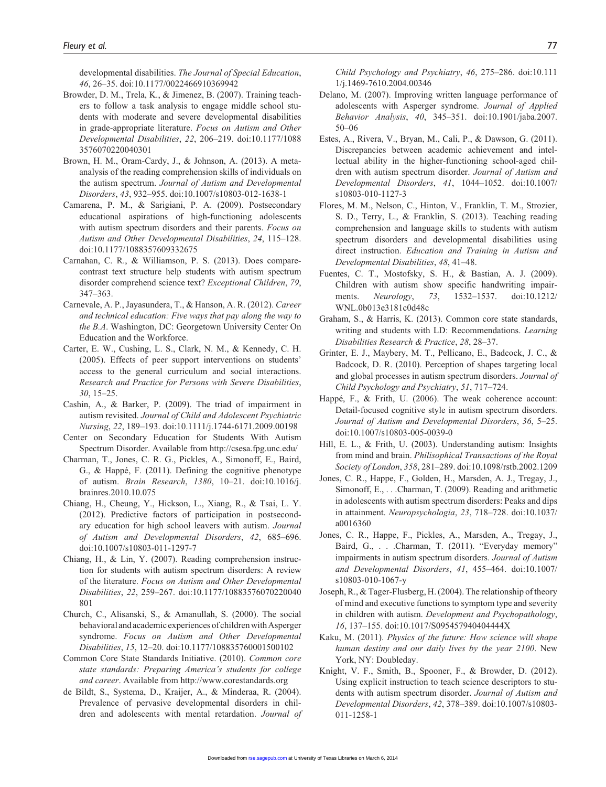developmental disabilities. *The Journal of Special Education*, *46*, 26–35. doi:10.1177/0022466910369942

- Browder, D. M., Trela, K., & Jimenez, B. (2007). Training teachers to follow a task analysis to engage middle school students with moderate and severe developmental disabilities in grade-appropriate literature. *Focus on Autism and Other Developmental Disabilities*, *22*, 206–219. doi:10.1177/1088 3576070220040301
- Brown, H. M., Oram-Cardy, J., & Johnson, A. (2013). A metaanalysis of the reading comprehension skills of individuals on the autism spectrum. *Journal of Autism and Developmental Disorders*, *43*, 932–955. doi:10.1007/s10803-012-1638-1
- Camarena, P. M., & Sarigiani, P. A. (2009). Postsecondary educational aspirations of high-functioning adolescents with autism spectrum disorders and their parents. *Focus on Autism and Other Developmental Disabilities*, *24*, 115–128. doi:10.1177/1088357609332675
- Carnahan, C. R., & Williamson, P. S. (2013). Does comparecontrast text structure help students with autism spectrum disorder comprehend science text? *Exceptional Children*, *79*, 347–363.
- Carnevale, A. P., Jayasundera, T., & Hanson, A. R. (2012). *Career and technical education: Five ways that pay along the way to the B.A*. Washington, DC: Georgetown University Center On Education and the Workforce.
- Carter, E. W., Cushing, L. S., Clark, N. M., & Kennedy, C. H. (2005). Effects of peer support interventions on students' access to the general curriculum and social interactions. *Research and Practice for Persons with Severe Disabilities*, *30*, 15–25.
- Cashin, A., & Barker, P. (2009). The triad of impairment in autism revisited. *Journal of Child and Adolescent Psychiatric Nursing*, *22*, 189–193. doi:10.1111/j.1744-6171.2009.00198
- Center on Secondary Education for Students With Autism Spectrum Disorder. Available from <http://csesa.fpg.unc.edu/>
- Charman, T., Jones, C. R. G., Pickles, A., Simonoff, E., Baird, G., & Happé, F. (2011). Defining the cognitive phenotype of autism. *Brain Research*, *1380*, 10–21. doi:10.1016/j. brainres.2010.10.075
- Chiang, H., Cheung, Y., Hickson, L., Xiang, R., & Tsai, L. Y. (2012). Predictive factors of participation in postsecondary education for high school leavers with autism. *Journal of Autism and Developmental Disorders*, *42*, 685–696. doi:10.1007/s10803-011-1297-7
- Chiang, H., & Lin, Y. (2007). Reading comprehension instruction for students with autism spectrum disorders: A review of the literature. *Focus on Autism and Other Developmental Disabilities*, *22*, 259–267. doi:10.1177/10883576070220040 801
- Church, C., Alisanski, S., & Amanullah, S. (2000). The social behavioral and academic experiences of children with Asperger syndrome. *Focus on Autism and Other Developmental Disabilities*, *15*, 12–20. doi:10.1177/108835760001500102
- Common Core State Standards Initiative. (2010). *Common core state standards: Preparing America's students for college and career*. Available from <http://www.corestandards.org>
- de Bildt, S., Systema, D., Kraijer, A., & Minderaa, R. (2004). Prevalence of pervasive developmental disorders in children and adolescents with mental retardation. *Journal of*

*Child Psychology and Psychiatry*, *46*, 275–286. doi:10.111 1/j.1469-7610.2004.00346

- Delano, M. (2007). Improving written language performance of adolescents with Asperger syndrome. *Journal of Applied Behavior Analysis*, *40*, 345–351. doi:10.1901/jaba.2007. 50–06
- Estes, A., Rivera, V., Bryan, M., Cali, P., & Dawson, G. (2011). Discrepancies between academic achievement and intellectual ability in the higher-functioning school-aged children with autism spectrum disorder. *Journal of Autism and Developmental Disorders*, *41*, 1044–1052. doi:10.1007/ s10803-010-1127-3
- Flores, M. M., Nelson, C., Hinton, V., Franklin, T. M., Strozier, S. D., Terry, L., & Franklin, S. (2013). Teaching reading comprehension and language skills to students with autism spectrum disorders and developmental disabilities using direct instruction. *Education and Training in Autism and Developmental Disabilities*, *48*, 41–48.
- Fuentes, C. T., Mostofsky, S. H., & Bastian, A. J. (2009). Children with autism show specific handwriting impairments. *Neurology*, *73*, 1532–1537. doi:10.1212/ WNL.0b013e3181c0d48c
- Graham, S., & Harris, K. (2013). Common core state standards, writing and students with LD: Recommendations. *Learning Disabilities Research & Practice*, *28*, 28–37.
- Grinter, E. J., Maybery, M. T., Pellicano, E., Badcock, J. C., & Badcock, D. R. (2010). Perception of shapes targeting local and global processes in autism spectrum disorders. *Journal of Child Psychology and Psychiatry*, *51*, 717–724.
- Happé, F., & Frith, U. (2006). The weak coherence account: Detail-focused cognitive style in autism spectrum disorders. *Journal of Autism and Developmental Disorders*, *36*, 5–25. doi:10.1007/s10803-005-0039-0
- Hill, E. L., & Frith, U. (2003). Understanding autism: Insights from mind and brain. *Philisophical Transactions of the Royal Society of London*, *358*, 281–289. doi:10.1098/rstb.2002.1209
- Jones, C. R., Happe, F., Golden, H., Marsden, A. J., Tregay, J., Simonoff, E., . . .Charman, T. (2009). Reading and arithmetic in adolescents with autism spectrum disorders: Peaks and dips in attainment. *Neuropsychologia*, *23*, 718–728. doi:10.1037/ a0016360
- Jones, C. R., Happe, F., Pickles, A., Marsden, A., Tregay, J., Baird, G., . . .Charman, T. (2011). "Everyday memory" impairments in autism spectrum disorders. *Journal of Autism and Developmental Disorders*, *41*, 455–464. doi:10.1007/ s10803-010-1067-y
- Joseph, R., & Tager-Flusberg, H. (2004). The relationship of theory of mind and executive functions to symptom type and severity in children with autism. *Development and Psychopathology*, *16*, 137–155. doi:10.1017/S095457940404444X
- Kaku, M. (2011). *Physics of the future: How science will shape human destiny and our daily lives by the year 2100*. New York, NY: Doubleday.
- Knight, V. F., Smith, B., Spooner, F., & Browder, D. (2012). Using explicit instruction to teach science descriptors to students with autism spectrum disorder. *Journal of Autism and Developmental Disorders*, *42*, 378–389. doi:10.1007/s10803- 011-1258-1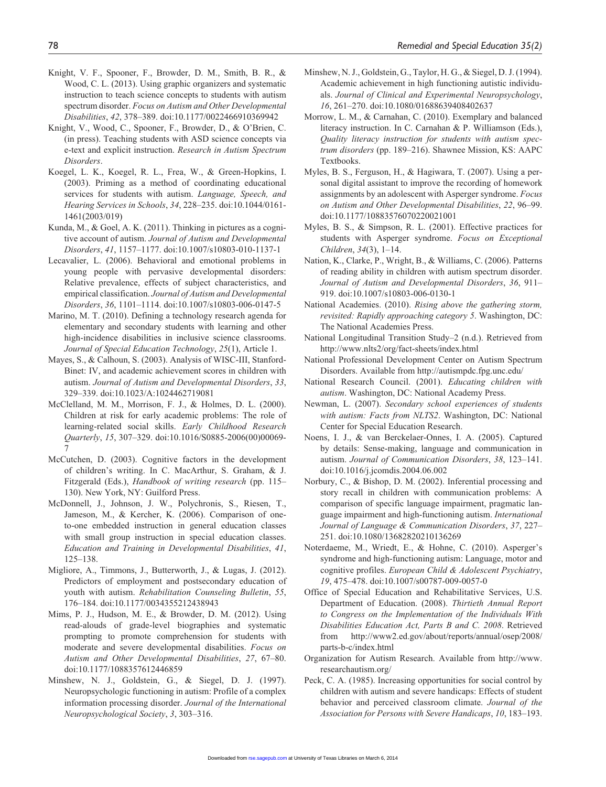- Knight, V. F., Spooner, F., Browder, D. M., Smith, B. R., & Wood, C. L. (2013). Using graphic organizers and systematic instruction to teach science concepts to students with autism spectrum disorder. *Focus on Autism and Other Developmental Disabilities*, *42*, 378–389. doi:10.1177/0022466910369942
- Knight, V., Wood, C., Spooner, F., Browder, D., & O'Brien, C. (in press). Teaching students with ASD science concepts via e-text and explicit instruction. *Research in Autism Spectrum Disorders*.
- Koegel, L. K., Koegel, R. L., Frea, W., & Green-Hopkins, I. (2003). Priming as a method of coordinating educational services for students with autism. *Language, Speech, and Hearing Services in Schools*, *34*, 228–235. doi:10.1044/0161- 1461(2003/019)
- Kunda, M., & Goel, A. K. (2011). Thinking in pictures as a cognitive account of autism. *Journal of Autism and Developmental Disorders*, *41*, 1157–1177. doi:10.1007/s10803-010-1137-1
- Lecavalier, L. (2006). Behavioral and emotional problems in young people with pervasive developmental disorders: Relative prevalence, effects of subject characteristics, and empirical classification. *Journal of Autism and Developmental Disorders*, *36*, 1101–1114. doi:10.1007/s10803-006-0147-5
- Marino, M. T. (2010). Defining a technology research agenda for elementary and secondary students with learning and other high-incidence disabilities in inclusive science classrooms. *Journal of Special Education Technology*, *25*(1), Article 1.
- Mayes, S., & Calhoun, S. (2003). Analysis of WISC-III, Stanford-Binet: IV, and academic achievement scores in children with autism. *Journal of Autism and Developmental Disorders*, *33*, 329–339. doi:10.1023/A:1024462719081
- McClelland, M. M., Morrison, F. J., & Holmes, D. L. (2000). Children at risk for early academic problems: The role of learning-related social skills. *Early Childhood Research Quarterly*, *15*, 307–329. doi:10.1016/S0885-2006(00)00069- 7
- McCutchen, D. (2003). Cognitive factors in the development of children's writing. In C. MacArthur, S. Graham, & J. Fitzgerald (Eds.), *Handbook of writing research* (pp. 115– 130). New York, NY: Guilford Press.
- McDonnell, J., Johnson, J. W., Polychronis, S., Riesen, T., Jameson, M., & Kercher, K. (2006). Comparison of oneto-one embedded instruction in general education classes with small group instruction in special education classes. *Education and Training in Developmental Disabilities*, *41*, 125–138.
- Migliore, A., Timmons, J., Butterworth, J., & Lugas, J. (2012). Predictors of employment and postsecondary education of youth with autism. *Rehabilitation Counseling Bulletin*, *55*, 176–184. doi:10.1177/0034355212438943
- Mims, P. J., Hudson, M. E., & Browder, D. M. (2012). Using read-alouds of grade-level biographies and systematic prompting to promote comprehension for students with moderate and severe developmental disabilities. *Focus on Autism and Other Developmental Disabilities*, *27*, 67–80. doi:10.1177/1088357612446859
- Minshew, N. J., Goldstein, G., & Siegel, D. J. (1997). Neuropsychologic functioning in autism: Profile of a complex information processing disorder. *Journal of the International Neuropsychological Society*, *3*, 303–316.
- Minshew, N. J., Goldstein, G., Taylor, H. G., & Siegel, D. J. (1994). Academic achievement in high functioning autistic individuals. *Journal of Clinical and Experimental Neuropsychology*, *16*, 261–270. doi:10.1080/01688639408402637
- Morrow, L. M., & Carnahan, C. (2010). Exemplary and balanced literacy instruction. In C. Carnahan & P. Williamson (Eds.), *Quality literacy instruction for students with autism spectrum disorders* (pp. 189–216). Shawnee Mission, KS: AAPC Textbooks.
- Myles, B. S., Ferguson, H., & Hagiwara, T. (2007). Using a personal digital assistant to improve the recording of homework assignments by an adolescent with Asperger syndrome. *Focus on Autism and Other Developmental Disabilities*, *22*, 96–99. doi:10.1177/10883576070220021001
- Myles, B. S., & Simpson, R. L. (2001). Effective practices for students with Asperger syndrome. *Focus on Exceptional Children*, *34*(3), 1–14.
- Nation, K., Clarke, P., Wright, B., & Williams, C. (2006). Patterns of reading ability in children with autism spectrum disorder. *Journal of Autism and Developmental Disorders*, *36*, 911– 919. doi:10.1007/s10803-006-0130-1
- National Academies. (2010). *Rising above the gathering storm, revisited: Rapidly approaching category 5*. Washington, DC: The National Academies Press.
- National Longitudinal Transition Study–2 (n.d.). Retrieved from <http://www.nlts2/org/fact-sheets/index.html>
- National Professional Development Center on Autism Spectrum Disorders. Available from<http://autismpdc.fpg.unc.edu/>
- National Research Council. (2001). *Educating children with autism*. Washington, DC: National Academy Press.
- Newman, L. (2007). *Secondary school experiences of students with autism: Facts from NLTS2*. Washington, DC: National Center for Special Education Research.
- Noens, I. J., & van Berckelaer-Onnes, I. A. (2005). Captured by details: Sense-making, language and communication in autism. *Journal of Communication Disorders*, *38*, 123–141. doi:10.1016/j.jcomdis.2004.06.002
- Norbury, C., & Bishop, D. M. (2002). Inferential processing and story recall in children with communication problems: A comparison of specific language impairment, pragmatic language impairment and high-functioning autism. *International Journal of Language & Communication Disorders*, *37*, 227– 251. doi:10.1080/13682820210136269
- Noterdaeme, M., Wriedt, E., & Hohne, C. (2010). Asperger's syndrome and high-functioning autism: Language, motor and cognitive profiles. *European Child & Adolescent Psychiatry*, *19*, 475–478. doi:10.1007/s00787-009-0057-0
- Office of Special Education and Rehabilitative Services, U.S. Department of Education. (2008). *Thirtieth Annual Report to Congress on the Implementation of the Individuals With Disabilities Education Act, Parts B and C. 2008*. Retrieved from [http://www2.ed.gov/about/reports/annual/osep/2008/](http://www2.ed.gov/about/reports/annual/osep/2008/parts-b-c/index.html) [parts-b-c/index.html](http://www2.ed.gov/about/reports/annual/osep/2008/parts-b-c/index.html)
- Organization for Autism Research. Available from [http://www.](http://www.researchautism.org/) [researchautism.org/](http://www.researchautism.org/)
- Peck, C. A. (1985). Increasing opportunities for social control by children with autism and severe handicaps: Effects of student behavior and perceived classroom climate. *Journal of the Association for Persons with Severe Handicaps*, *10*, 183–193.